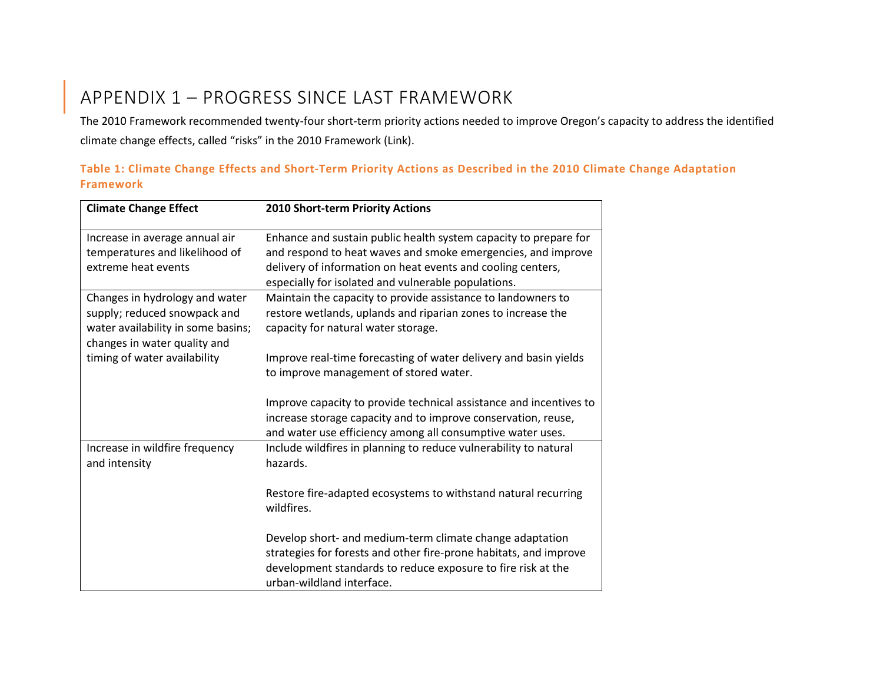## APPENDIX 1 – PROGRESS SINCE LAST FRAMEWORK

The 2010 Framework recommended twenty-four short-term priority actions needed to improve Oregon's capacity to address the identified climate change effects, called "risks" in the 2010 Framework (Link).

| Table 1: Climate Change Effects and Short-Term Priority Actions as Described in the 2010 Climate Change Adaptation |  |  |  |  |  |
|--------------------------------------------------------------------------------------------------------------------|--|--|--|--|--|
| Framework                                                                                                          |  |  |  |  |  |

| <b>Climate Change Effect</b>                                                                                                         | 2010 Short-term Priority Actions                                                                                                                                                                                                                       |
|--------------------------------------------------------------------------------------------------------------------------------------|--------------------------------------------------------------------------------------------------------------------------------------------------------------------------------------------------------------------------------------------------------|
| Increase in average annual air<br>temperatures and likelihood of<br>extreme heat events                                              | Enhance and sustain public health system capacity to prepare for<br>and respond to heat waves and smoke emergencies, and improve<br>delivery of information on heat events and cooling centers,<br>especially for isolated and vulnerable populations. |
| Changes in hydrology and water<br>supply; reduced snowpack and<br>water availability in some basins;<br>changes in water quality and | Maintain the capacity to provide assistance to landowners to<br>restore wetlands, uplands and riparian zones to increase the<br>capacity for natural water storage.                                                                                    |
| timing of water availability                                                                                                         | Improve real-time forecasting of water delivery and basin yields<br>to improve management of stored water.                                                                                                                                             |
|                                                                                                                                      | Improve capacity to provide technical assistance and incentives to<br>increase storage capacity and to improve conservation, reuse,<br>and water use efficiency among all consumptive water uses.                                                      |
| Increase in wildfire frequency<br>and intensity                                                                                      | Include wildfires in planning to reduce vulnerability to natural<br>hazards.                                                                                                                                                                           |
|                                                                                                                                      | Restore fire-adapted ecosystems to withstand natural recurring<br>wildfires.                                                                                                                                                                           |
|                                                                                                                                      | Develop short- and medium-term climate change adaptation<br>strategies for forests and other fire-prone habitats, and improve<br>development standards to reduce exposure to fire risk at the<br>urban-wildland interface.                             |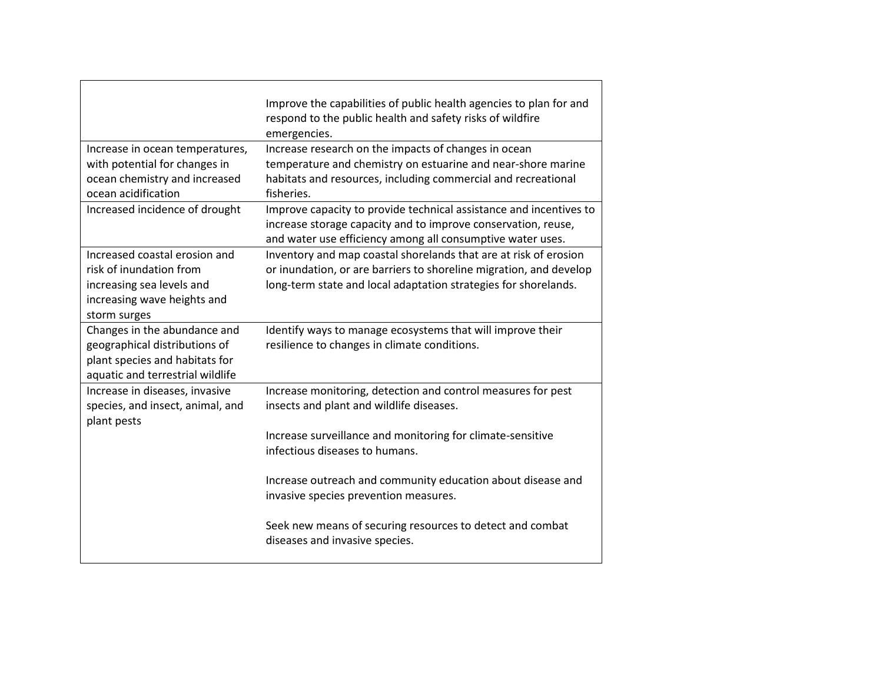|                                                                                                                                      | Improve the capabilities of public health agencies to plan for and<br>respond to the public health and safety risks of wildfire<br>emergencies.                                                           |
|--------------------------------------------------------------------------------------------------------------------------------------|-----------------------------------------------------------------------------------------------------------------------------------------------------------------------------------------------------------|
| Increase in ocean temperatures,<br>with potential for changes in<br>ocean chemistry and increased<br>ocean acidification             | Increase research on the impacts of changes in ocean<br>temperature and chemistry on estuarine and near-shore marine<br>habitats and resources, including commercial and recreational<br>fisheries.       |
| Increased incidence of drought                                                                                                       | Improve capacity to provide technical assistance and incentives to<br>increase storage capacity and to improve conservation, reuse,<br>and water use efficiency among all consumptive water uses.         |
| Increased coastal erosion and<br>risk of inundation from<br>increasing sea levels and<br>increasing wave heights and<br>storm surges | Inventory and map coastal shorelands that are at risk of erosion<br>or inundation, or are barriers to shoreline migration, and develop<br>long-term state and local adaptation strategies for shorelands. |
| Changes in the abundance and<br>geographical distributions of<br>plant species and habitats for<br>aquatic and terrestrial wildlife  | Identify ways to manage ecosystems that will improve their<br>resilience to changes in climate conditions.                                                                                                |
| Increase in diseases, invasive<br>species, and insect, animal, and<br>plant pests                                                    | Increase monitoring, detection and control measures for pest<br>insects and plant and wildlife diseases.                                                                                                  |
|                                                                                                                                      | Increase surveillance and monitoring for climate-sensitive<br>infectious diseases to humans.                                                                                                              |
|                                                                                                                                      | Increase outreach and community education about disease and<br>invasive species prevention measures.                                                                                                      |
|                                                                                                                                      | Seek new means of securing resources to detect and combat<br>diseases and invasive species.                                                                                                               |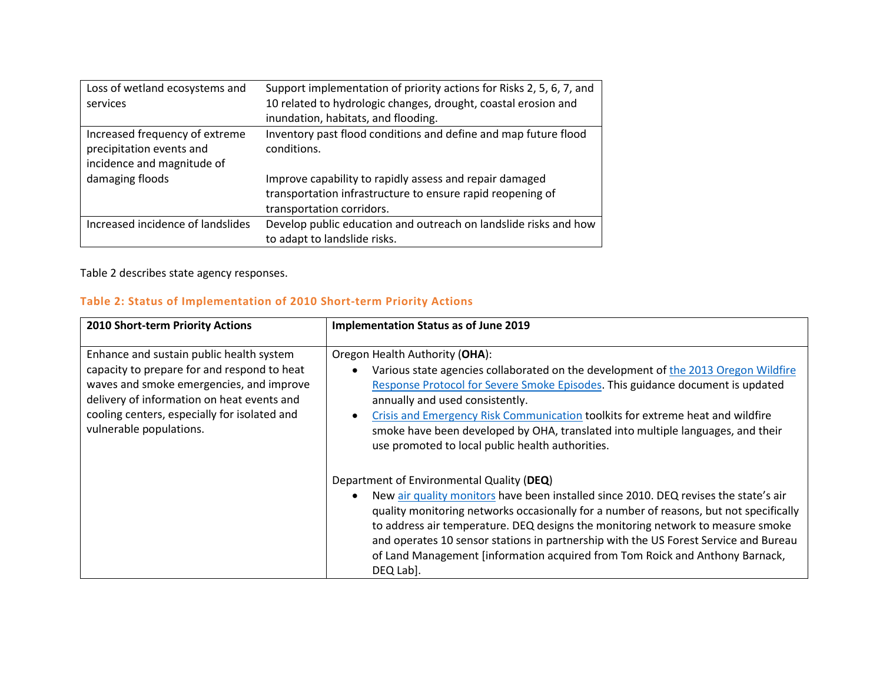| Loss of wetland ecosystems and<br>services                                               | Support implementation of priority actions for Risks 2, 5, 6, 7, and<br>10 related to hydrologic changes, drought, coastal erosion and<br>inundation, habitats, and flooding. |
|------------------------------------------------------------------------------------------|-------------------------------------------------------------------------------------------------------------------------------------------------------------------------------|
| Increased frequency of extreme<br>precipitation events and<br>incidence and magnitude of | Inventory past flood conditions and define and map future flood<br>conditions.                                                                                                |
| damaging floods                                                                          | Improve capability to rapidly assess and repair damaged<br>transportation infrastructure to ensure rapid reopening of                                                         |
|                                                                                          | transportation corridors.                                                                                                                                                     |
| Increased incidence of landslides                                                        | Develop public education and outreach on landslide risks and how<br>to adapt to landslide risks.                                                                              |

Table 2 describes state agency responses.

## **Table 2: Status of Implementation of 2010 Short-term Priority Actions**

| 2010 Short-term Priority Actions                                                                                                                                                                                                                             | <b>Implementation Status as of June 2019</b>                                                                                                                                                                                                                                                                                                                                                                                                                                                        |
|--------------------------------------------------------------------------------------------------------------------------------------------------------------------------------------------------------------------------------------------------------------|-----------------------------------------------------------------------------------------------------------------------------------------------------------------------------------------------------------------------------------------------------------------------------------------------------------------------------------------------------------------------------------------------------------------------------------------------------------------------------------------------------|
| Enhance and sustain public health system<br>capacity to prepare for and respond to heat<br>waves and smoke emergencies, and improve<br>delivery of information on heat events and<br>cooling centers, especially for isolated and<br>vulnerable populations. | Oregon Health Authority (OHA):<br>Various state agencies collaborated on the development of the 2013 Oregon Wildfire<br>Response Protocol for Severe Smoke Episodes. This guidance document is updated<br>annually and used consistently.<br>Crisis and Emergency Risk Communication toolkits for extreme heat and wildfire<br>smoke have been developed by OHA, translated into multiple languages, and their<br>use promoted to local public health authorities.                                  |
|                                                                                                                                                                                                                                                              | Department of Environmental Quality (DEQ)<br>New air quality monitors have been installed since 2010. DEQ revises the state's air<br>quality monitoring networks occasionally for a number of reasons, but not specifically<br>to address air temperature. DEQ designs the monitoring network to measure smoke<br>and operates 10 sensor stations in partnership with the US Forest Service and Bureau<br>of Land Management [information acquired from Tom Roick and Anthony Barnack,<br>DEQ Lab]. |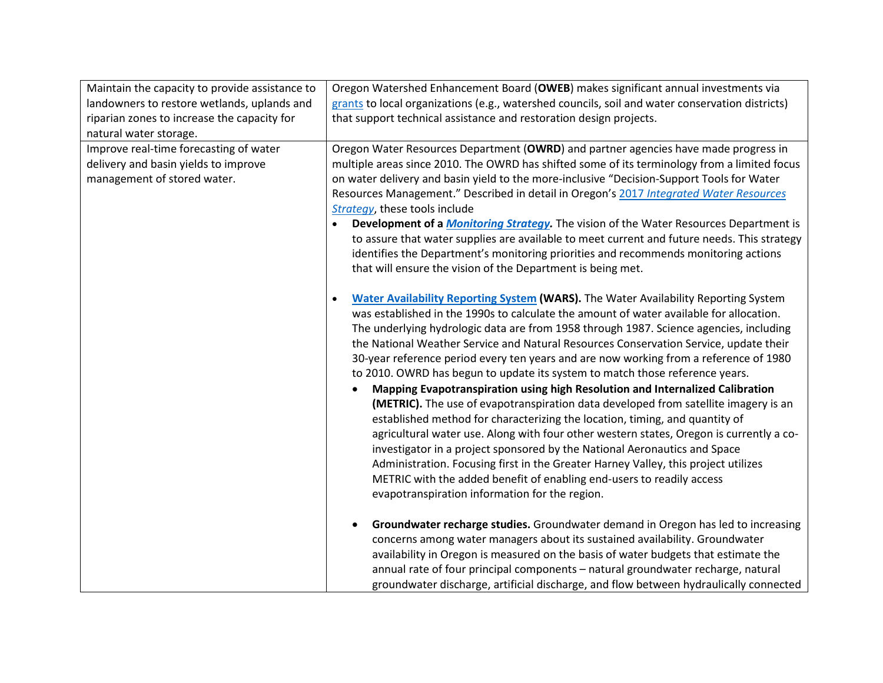| Maintain the capacity to provide assistance to                                                                | Oregon Watershed Enhancement Board (OWEB) makes significant annual investments via                                                                                                                                                                                                                                                                                                                                                                                                                                                                                                                                                                                                                                                                                                                                                                                                                                                                                                                                                                                                                                                                                                                                                                                                                                                                                                                                                                                                                                                                                                                                               |
|---------------------------------------------------------------------------------------------------------------|----------------------------------------------------------------------------------------------------------------------------------------------------------------------------------------------------------------------------------------------------------------------------------------------------------------------------------------------------------------------------------------------------------------------------------------------------------------------------------------------------------------------------------------------------------------------------------------------------------------------------------------------------------------------------------------------------------------------------------------------------------------------------------------------------------------------------------------------------------------------------------------------------------------------------------------------------------------------------------------------------------------------------------------------------------------------------------------------------------------------------------------------------------------------------------------------------------------------------------------------------------------------------------------------------------------------------------------------------------------------------------------------------------------------------------------------------------------------------------------------------------------------------------------------------------------------------------------------------------------------------------|
| landowners to restore wetlands, uplands and                                                                   | grants to local organizations (e.g., watershed councils, soil and water conservation districts)                                                                                                                                                                                                                                                                                                                                                                                                                                                                                                                                                                                                                                                                                                                                                                                                                                                                                                                                                                                                                                                                                                                                                                                                                                                                                                                                                                                                                                                                                                                                  |
| riparian zones to increase the capacity for                                                                   | that support technical assistance and restoration design projects.                                                                                                                                                                                                                                                                                                                                                                                                                                                                                                                                                                                                                                                                                                                                                                                                                                                                                                                                                                                                                                                                                                                                                                                                                                                                                                                                                                                                                                                                                                                                                               |
| natural water storage.                                                                                        |                                                                                                                                                                                                                                                                                                                                                                                                                                                                                                                                                                                                                                                                                                                                                                                                                                                                                                                                                                                                                                                                                                                                                                                                                                                                                                                                                                                                                                                                                                                                                                                                                                  |
| Improve real-time forecasting of water<br>delivery and basin yields to improve<br>management of stored water. | Oregon Water Resources Department (OWRD) and partner agencies have made progress in<br>multiple areas since 2010. The OWRD has shifted some of its terminology from a limited focus<br>on water delivery and basin yield to the more-inclusive "Decision-Support Tools for Water<br>Resources Management." Described in detail in Oregon's 2017 Integrated Water Resources<br>Strategy, these tools include<br>Development of a <i>Monitoring Strategy</i> . The vision of the Water Resources Department is<br>to assure that water supplies are available to meet current and future needs. This strategy<br>identifies the Department's monitoring priorities and recommends monitoring actions<br>that will ensure the vision of the Department is being met.                                                                                                                                                                                                                                                                                                                                                                                                                                                                                                                                                                                                                                                                                                                                                                                                                                                                |
|                                                                                                               | Water Availability Reporting System (WARS). The Water Availability Reporting System<br>was established in the 1990s to calculate the amount of water available for allocation.<br>The underlying hydrologic data are from 1958 through 1987. Science agencies, including<br>the National Weather Service and Natural Resources Conservation Service, update their<br>30-year reference period every ten years and are now working from a reference of 1980<br>to 2010. OWRD has begun to update its system to match those reference years.<br>Mapping Evapotranspiration using high Resolution and Internalized Calibration<br>(METRIC). The use of evapotranspiration data developed from satellite imagery is an<br>established method for characterizing the location, timing, and quantity of<br>agricultural water use. Along with four other western states, Oregon is currently a co-<br>investigator in a project sponsored by the National Aeronautics and Space<br>Administration. Focusing first in the Greater Harney Valley, this project utilizes<br>METRIC with the added benefit of enabling end-users to readily access<br>evapotranspiration information for the region.<br>Groundwater recharge studies. Groundwater demand in Oregon has led to increasing<br>concerns among water managers about its sustained availability. Groundwater<br>availability in Oregon is measured on the basis of water budgets that estimate the<br>annual rate of four principal components - natural groundwater recharge, natural<br>groundwater discharge, artificial discharge, and flow between hydraulically connected |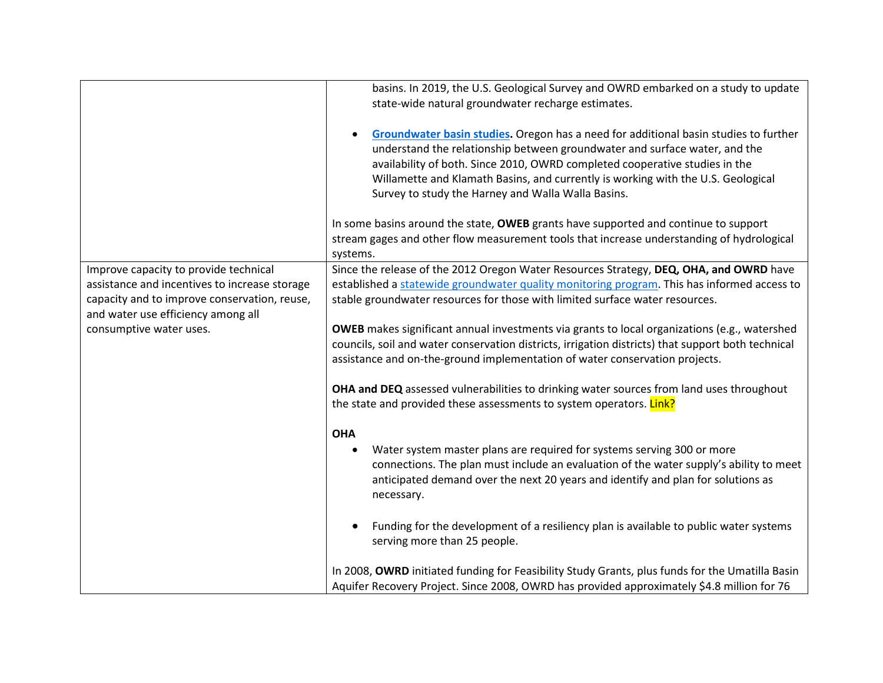|                                                                                        | basins. In 2019, the U.S. Geological Survey and OWRD embarked on a study to update<br>state-wide natural groundwater recharge estimates.                                                                                                                                                                                                                                                    |
|----------------------------------------------------------------------------------------|---------------------------------------------------------------------------------------------------------------------------------------------------------------------------------------------------------------------------------------------------------------------------------------------------------------------------------------------------------------------------------------------|
|                                                                                        | Groundwater basin studies. Oregon has a need for additional basin studies to further<br>understand the relationship between groundwater and surface water, and the<br>availability of both. Since 2010, OWRD completed cooperative studies in the<br>Willamette and Klamath Basins, and currently is working with the U.S. Geological<br>Survey to study the Harney and Walla Walla Basins. |
|                                                                                        | In some basins around the state, OWEB grants have supported and continue to support<br>stream gages and other flow measurement tools that increase understanding of hydrological<br>systems.                                                                                                                                                                                                |
| Improve capacity to provide technical<br>assistance and incentives to increase storage | Since the release of the 2012 Oregon Water Resources Strategy, DEQ, OHA, and OWRD have<br>established a statewide groundwater quality monitoring program. This has informed access to                                                                                                                                                                                                       |
| capacity and to improve conservation, reuse,<br>and water use efficiency among all     | stable groundwater resources for those with limited surface water resources.                                                                                                                                                                                                                                                                                                                |
| consumptive water uses.                                                                | <b>OWEB</b> makes significant annual investments via grants to local organizations (e.g., watershed<br>councils, soil and water conservation districts, irrigation districts) that support both technical<br>assistance and on-the-ground implementation of water conservation projects.                                                                                                    |
|                                                                                        | OHA and DEQ assessed vulnerabilities to drinking water sources from land uses throughout<br>the state and provided these assessments to system operators. Link?                                                                                                                                                                                                                             |
|                                                                                        | <b>OHA</b><br>Water system master plans are required for systems serving 300 or more<br>$\bullet$<br>connections. The plan must include an evaluation of the water supply's ability to meet<br>anticipated demand over the next 20 years and identify and plan for solutions as<br>necessary.                                                                                               |
|                                                                                        | Funding for the development of a resiliency plan is available to public water systems<br>serving more than 25 people.                                                                                                                                                                                                                                                                       |
|                                                                                        | In 2008, OWRD initiated funding for Feasibility Study Grants, plus funds for the Umatilla Basin<br>Aquifer Recovery Project. Since 2008, OWRD has provided approximately \$4.8 million for 76                                                                                                                                                                                               |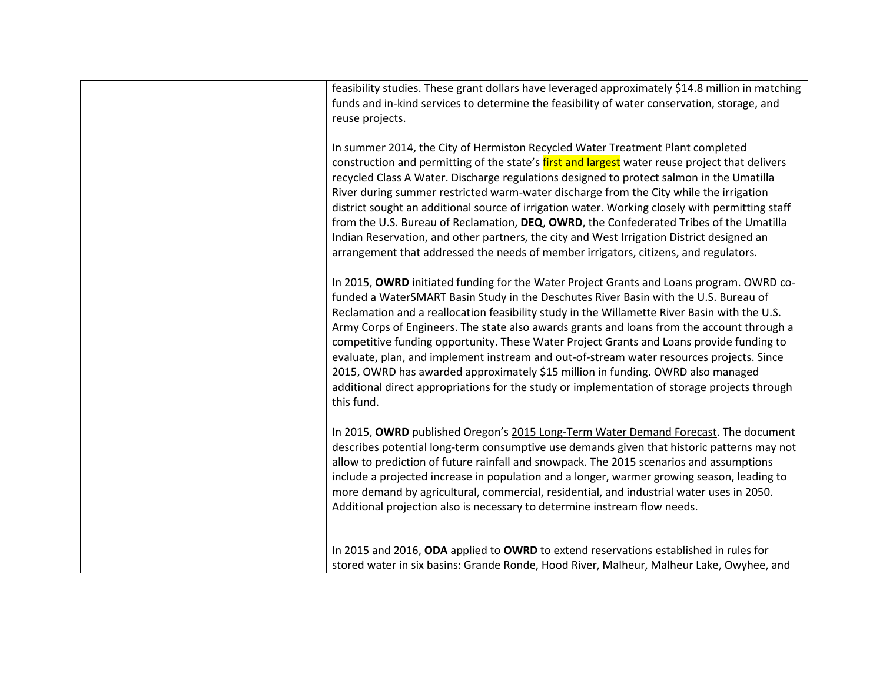| feasibility studies. These grant dollars have leveraged approximately \$14.8 million in matching<br>funds and in-kind services to determine the feasibility of water conservation, storage, and<br>reuse projects.                                                                                                                                                                                                                                                                                                                                                                                                                                                                                                                                                      |
|-------------------------------------------------------------------------------------------------------------------------------------------------------------------------------------------------------------------------------------------------------------------------------------------------------------------------------------------------------------------------------------------------------------------------------------------------------------------------------------------------------------------------------------------------------------------------------------------------------------------------------------------------------------------------------------------------------------------------------------------------------------------------|
| In summer 2014, the City of Hermiston Recycled Water Treatment Plant completed<br>construction and permitting of the state's first and largest water reuse project that delivers<br>recycled Class A Water. Discharge regulations designed to protect salmon in the Umatilla<br>River during summer restricted warm-water discharge from the City while the irrigation<br>district sought an additional source of irrigation water. Working closely with permitting staff<br>from the U.S. Bureau of Reclamation, DEQ, OWRD, the Confederated Tribes of the Umatilla<br>Indian Reservation, and other partners, the city and West Irrigation District designed an<br>arrangement that addressed the needs of member irrigators, citizens, and regulators.               |
| In 2015, OWRD initiated funding for the Water Project Grants and Loans program. OWRD co-<br>funded a WaterSMART Basin Study in the Deschutes River Basin with the U.S. Bureau of<br>Reclamation and a reallocation feasibility study in the Willamette River Basin with the U.S.<br>Army Corps of Engineers. The state also awards grants and loans from the account through a<br>competitive funding opportunity. These Water Project Grants and Loans provide funding to<br>evaluate, plan, and implement instream and out-of-stream water resources projects. Since<br>2015, OWRD has awarded approximately \$15 million in funding. OWRD also managed<br>additional direct appropriations for the study or implementation of storage projects through<br>this fund. |
| In 2015, OWRD published Oregon's 2015 Long-Term Water Demand Forecast. The document<br>describes potential long-term consumptive use demands given that historic patterns may not<br>allow to prediction of future rainfall and snowpack. The 2015 scenarios and assumptions<br>include a projected increase in population and a longer, warmer growing season, leading to<br>more demand by agricultural, commercial, residential, and industrial water uses in 2050.<br>Additional projection also is necessary to determine instream flow needs.                                                                                                                                                                                                                     |
| In 2015 and 2016, ODA applied to OWRD to extend reservations established in rules for<br>stored water in six basins: Grande Ronde, Hood River, Malheur, Malheur Lake, Owyhee, and                                                                                                                                                                                                                                                                                                                                                                                                                                                                                                                                                                                       |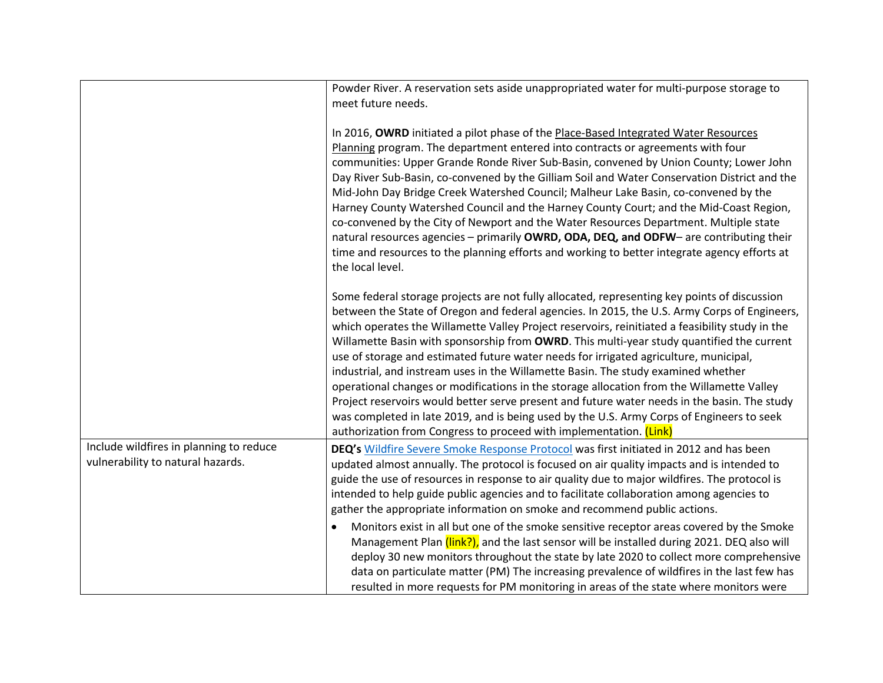|                                                                              | Powder River. A reservation sets aside unappropriated water for multi-purpose storage to<br>meet future needs.                                                                                                                                                                                                                                                                                                                                                                                                                                                                                                                                                                                                                                                                                                                                                                                                                             |
|------------------------------------------------------------------------------|--------------------------------------------------------------------------------------------------------------------------------------------------------------------------------------------------------------------------------------------------------------------------------------------------------------------------------------------------------------------------------------------------------------------------------------------------------------------------------------------------------------------------------------------------------------------------------------------------------------------------------------------------------------------------------------------------------------------------------------------------------------------------------------------------------------------------------------------------------------------------------------------------------------------------------------------|
|                                                                              | In 2016, OWRD initiated a pilot phase of the Place-Based Integrated Water Resources<br>Planning program. The department entered into contracts or agreements with four<br>communities: Upper Grande Ronde River Sub-Basin, convened by Union County; Lower John<br>Day River Sub-Basin, co-convened by the Gilliam Soil and Water Conservation District and the<br>Mid-John Day Bridge Creek Watershed Council; Malheur Lake Basin, co-convened by the<br>Harney County Watershed Council and the Harney County Court; and the Mid-Coast Region,<br>co-convened by the City of Newport and the Water Resources Department. Multiple state<br>natural resources agencies - primarily OWRD, ODA, DEQ, and ODFW- are contributing their<br>time and resources to the planning efforts and working to better integrate agency efforts at<br>the local level.                                                                                   |
|                                                                              | Some federal storage projects are not fully allocated, representing key points of discussion<br>between the State of Oregon and federal agencies. In 2015, the U.S. Army Corps of Engineers,<br>which operates the Willamette Valley Project reservoirs, reinitiated a feasibility study in the<br>Willamette Basin with sponsorship from OWRD. This multi-year study quantified the current<br>use of storage and estimated future water needs for irrigated agriculture, municipal,<br>industrial, and instream uses in the Willamette Basin. The study examined whether<br>operational changes or modifications in the storage allocation from the Willamette Valley<br>Project reservoirs would better serve present and future water needs in the basin. The study<br>was completed in late 2019, and is being used by the U.S. Army Corps of Engineers to seek<br>authorization from Congress to proceed with implementation. (Link) |
| Include wildfires in planning to reduce<br>vulnerability to natural hazards. | DEQ's Wildfire Severe Smoke Response Protocol was first initiated in 2012 and has been<br>updated almost annually. The protocol is focused on air quality impacts and is intended to<br>guide the use of resources in response to air quality due to major wildfires. The protocol is<br>intended to help guide public agencies and to facilitate collaboration among agencies to<br>gather the appropriate information on smoke and recommend public actions.<br>Monitors exist in all but one of the smoke sensitive receptor areas covered by the Smoke<br>Management Plan (link?), and the last sensor will be installed during 2021. DEQ also will<br>deploy 30 new monitors throughout the state by late 2020 to collect more comprehensive<br>data on particulate matter (PM) The increasing prevalence of wildfires in the last few has<br>resulted in more requests for PM monitoring in areas of the state where monitors were   |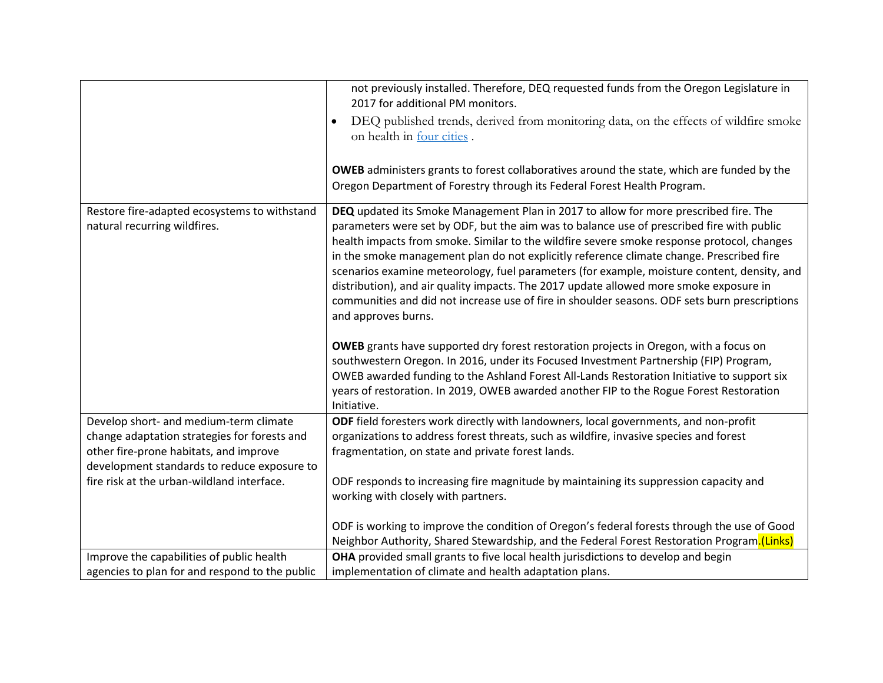|                                                                                        | not previously installed. Therefore, DEQ requested funds from the Oregon Legislature in<br>2017 for additional PM monitors.                                                                                                                                                                                                                                                                                                                                                                                                                                                                                                                                                                  |
|----------------------------------------------------------------------------------------|----------------------------------------------------------------------------------------------------------------------------------------------------------------------------------------------------------------------------------------------------------------------------------------------------------------------------------------------------------------------------------------------------------------------------------------------------------------------------------------------------------------------------------------------------------------------------------------------------------------------------------------------------------------------------------------------|
|                                                                                        | DEQ published trends, derived from monitoring data, on the effects of wildfire smoke<br>$\bullet$<br>on health in four cities.                                                                                                                                                                                                                                                                                                                                                                                                                                                                                                                                                               |
|                                                                                        | <b>OWEB</b> administers grants to forest collaboratives around the state, which are funded by the                                                                                                                                                                                                                                                                                                                                                                                                                                                                                                                                                                                            |
|                                                                                        | Oregon Department of Forestry through its Federal Forest Health Program.                                                                                                                                                                                                                                                                                                                                                                                                                                                                                                                                                                                                                     |
| Restore fire-adapted ecosystems to withstand<br>natural recurring wildfires.           | DEQ updated its Smoke Management Plan in 2017 to allow for more prescribed fire. The<br>parameters were set by ODF, but the aim was to balance use of prescribed fire with public<br>health impacts from smoke. Similar to the wildfire severe smoke response protocol, changes<br>in the smoke management plan do not explicitly reference climate change. Prescribed fire<br>scenarios examine meteorology, fuel parameters (for example, moisture content, density, and<br>distribution), and air quality impacts. The 2017 update allowed more smoke exposure in<br>communities and did not increase use of fire in shoulder seasons. ODF sets burn prescriptions<br>and approves burns. |
|                                                                                        | <b>OWEB</b> grants have supported dry forest restoration projects in Oregon, with a focus on                                                                                                                                                                                                                                                                                                                                                                                                                                                                                                                                                                                                 |
|                                                                                        | southwestern Oregon. In 2016, under its Focused Investment Partnership (FIP) Program,<br>OWEB awarded funding to the Ashland Forest All-Lands Restoration Initiative to support six                                                                                                                                                                                                                                                                                                                                                                                                                                                                                                          |
|                                                                                        | years of restoration. In 2019, OWEB awarded another FIP to the Rogue Forest Restoration<br>Initiative.                                                                                                                                                                                                                                                                                                                                                                                                                                                                                                                                                                                       |
| Develop short- and medium-term climate                                                 | ODF field foresters work directly with landowners, local governments, and non-profit                                                                                                                                                                                                                                                                                                                                                                                                                                                                                                                                                                                                         |
| change adaptation strategies for forests and<br>other fire-prone habitats, and improve | organizations to address forest threats, such as wildfire, invasive species and forest<br>fragmentation, on state and private forest lands.                                                                                                                                                                                                                                                                                                                                                                                                                                                                                                                                                  |
| development standards to reduce exposure to                                            |                                                                                                                                                                                                                                                                                                                                                                                                                                                                                                                                                                                                                                                                                              |
| fire risk at the urban-wildland interface.                                             | ODF responds to increasing fire magnitude by maintaining its suppression capacity and                                                                                                                                                                                                                                                                                                                                                                                                                                                                                                                                                                                                        |
|                                                                                        | working with closely with partners.                                                                                                                                                                                                                                                                                                                                                                                                                                                                                                                                                                                                                                                          |
|                                                                                        | ODF is working to improve the condition of Oregon's federal forests through the use of Good                                                                                                                                                                                                                                                                                                                                                                                                                                                                                                                                                                                                  |
|                                                                                        | Neighbor Authority, Shared Stewardship, and the Federal Forest Restoration Program.(Links)                                                                                                                                                                                                                                                                                                                                                                                                                                                                                                                                                                                                   |
| Improve the capabilities of public health                                              | OHA provided small grants to five local health jurisdictions to develop and begin                                                                                                                                                                                                                                                                                                                                                                                                                                                                                                                                                                                                            |
| agencies to plan for and respond to the public                                         | implementation of climate and health adaptation plans.                                                                                                                                                                                                                                                                                                                                                                                                                                                                                                                                                                                                                                       |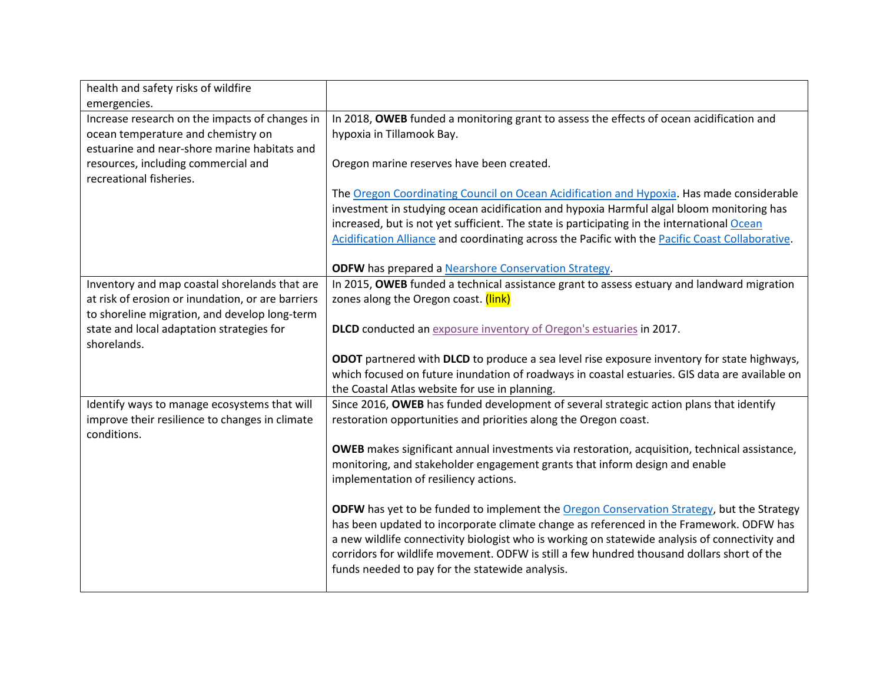| health and safety risks of wildfire                            |                                                                                                                                                                                              |
|----------------------------------------------------------------|----------------------------------------------------------------------------------------------------------------------------------------------------------------------------------------------|
| emergencies.                                                   |                                                                                                                                                                                              |
| Increase research on the impacts of changes in                 | In 2018, OWEB funded a monitoring grant to assess the effects of ocean acidification and                                                                                                     |
| ocean temperature and chemistry on                             | hypoxia in Tillamook Bay.                                                                                                                                                                    |
| estuarine and near-shore marine habitats and                   |                                                                                                                                                                                              |
| resources, including commercial and<br>recreational fisheries. | Oregon marine reserves have been created.                                                                                                                                                    |
|                                                                | The Oregon Coordinating Council on Ocean Acidification and Hypoxia. Has made considerable                                                                                                    |
|                                                                | investment in studying ocean acidification and hypoxia Harmful algal bloom monitoring has                                                                                                    |
|                                                                | increased, but is not yet sufficient. The state is participating in the international Ocean                                                                                                  |
|                                                                | Acidification Alliance and coordinating across the Pacific with the Pacific Coast Collaborative.                                                                                             |
|                                                                | <b>ODFW</b> has prepared a <b>Nearshore Conservation Strategy</b> .                                                                                                                          |
| Inventory and map coastal shorelands that are                  | In 2015, OWEB funded a technical assistance grant to assess estuary and landward migration                                                                                                   |
| at risk of erosion or inundation, or are barriers              | zones along the Oregon coast. (link)                                                                                                                                                         |
| to shoreline migration, and develop long-term                  |                                                                                                                                                                                              |
| state and local adaptation strategies for<br>shorelands.       | DLCD conducted an exposure inventory of Oregon's estuaries in 2017.                                                                                                                          |
|                                                                | ODOT partnered with DLCD to produce a sea level rise exposure inventory for state highways,                                                                                                  |
|                                                                | which focused on future inundation of roadways in coastal estuaries. GIS data are available on                                                                                               |
|                                                                | the Coastal Atlas website for use in planning.                                                                                                                                               |
| Identify ways to manage ecosystems that will                   | Since 2016, OWEB has funded development of several strategic action plans that identify                                                                                                      |
| improve their resilience to changes in climate<br>conditions.  | restoration opportunities and priorities along the Oregon coast.                                                                                                                             |
|                                                                | <b>OWEB</b> makes significant annual investments via restoration, acquisition, technical assistance,                                                                                         |
|                                                                | monitoring, and stakeholder engagement grants that inform design and enable                                                                                                                  |
|                                                                | implementation of resiliency actions.                                                                                                                                                        |
|                                                                | ODFW has yet to be funded to implement the Oregon Conservation Strategy, but the Strategy                                                                                                    |
|                                                                | has been updated to incorporate climate change as referenced in the Framework. ODFW has                                                                                                      |
|                                                                | a new wildlife connectivity biologist who is working on statewide analysis of connectivity and<br>corridors for wildlife movement. ODFW is still a few hundred thousand dollars short of the |
|                                                                | funds needed to pay for the statewide analysis.                                                                                                                                              |
|                                                                |                                                                                                                                                                                              |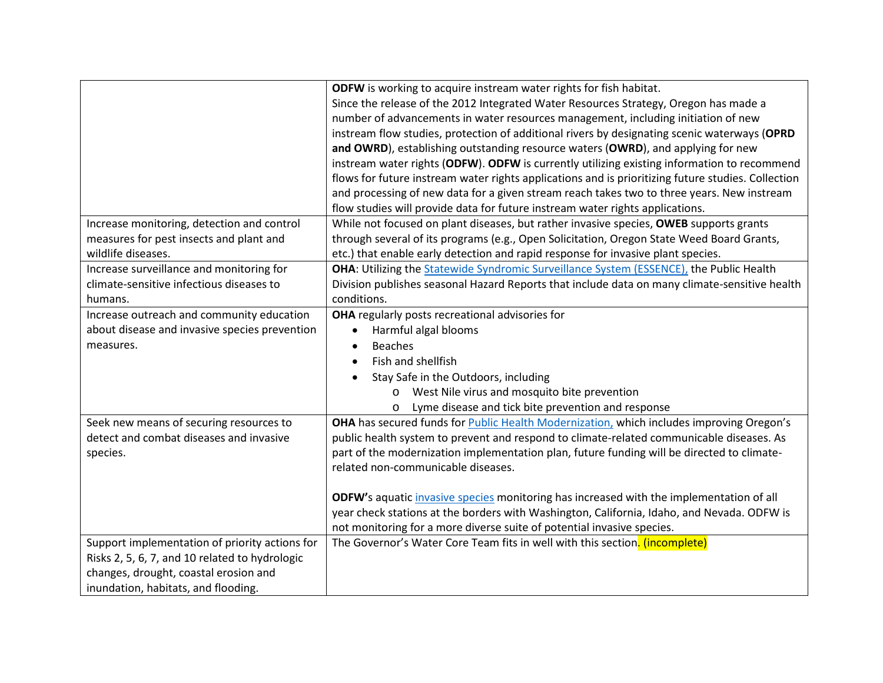|                                                | ODFW is working to acquire instream water rights for fish habitat.                                 |
|------------------------------------------------|----------------------------------------------------------------------------------------------------|
|                                                | Since the release of the 2012 Integrated Water Resources Strategy, Oregon has made a               |
|                                                | number of advancements in water resources management, including initiation of new                  |
|                                                | instream flow studies, protection of additional rivers by designating scenic waterways (OPRD       |
|                                                | and OWRD), establishing outstanding resource waters (OWRD), and applying for new                   |
|                                                | instream water rights (ODFW). ODFW is currently utilizing existing information to recommend        |
|                                                | flows for future instream water rights applications and is prioritizing future studies. Collection |
|                                                | and processing of new data for a given stream reach takes two to three years. New instream         |
|                                                | flow studies will provide data for future instream water rights applications.                      |
| Increase monitoring, detection and control     | While not focused on plant diseases, but rather invasive species, OWEB supports grants             |
| measures for pest insects and plant and        | through several of its programs (e.g., Open Solicitation, Oregon State Weed Board Grants,          |
| wildlife diseases.                             | etc.) that enable early detection and rapid response for invasive plant species.                   |
| Increase surveillance and monitoring for       | OHA: Utilizing the Statewide Syndromic Surveillance System (ESSENCE), the Public Health            |
| climate-sensitive infectious diseases to       | Division publishes seasonal Hazard Reports that include data on many climate-sensitive health      |
| humans.                                        | conditions.                                                                                        |
| Increase outreach and community education      | OHA regularly posts recreational advisories for                                                    |
| about disease and invasive species prevention  | Harmful algal blooms<br>$\bullet$                                                                  |
| measures.                                      | <b>Beaches</b>                                                                                     |
|                                                | Fish and shellfish                                                                                 |
|                                                | Stay Safe in the Outdoors, including                                                               |
|                                                | West Nile virus and mosquito bite prevention<br>$\circ$                                            |
|                                                | Lyme disease and tick bite prevention and response<br>$\circ$                                      |
| Seek new means of securing resources to        | OHA has secured funds for Public Health Modernization, which includes improving Oregon's           |
| detect and combat diseases and invasive        | public health system to prevent and respond to climate-related communicable diseases. As           |
| species.                                       | part of the modernization implementation plan, future funding will be directed to climate-         |
|                                                | related non-communicable diseases.                                                                 |
|                                                |                                                                                                    |
|                                                | ODFW's aquatic invasive species monitoring has increased with the implementation of all            |
|                                                | year check stations at the borders with Washington, California, Idaho, and Nevada. ODFW is         |
|                                                | not monitoring for a more diverse suite of potential invasive species.                             |
| Support implementation of priority actions for | The Governor's Water Core Team fits in well with this section. (incomplete)                        |
| Risks 2, 5, 6, 7, and 10 related to hydrologic |                                                                                                    |
| changes, drought, coastal erosion and          |                                                                                                    |
| inundation, habitats, and flooding.            |                                                                                                    |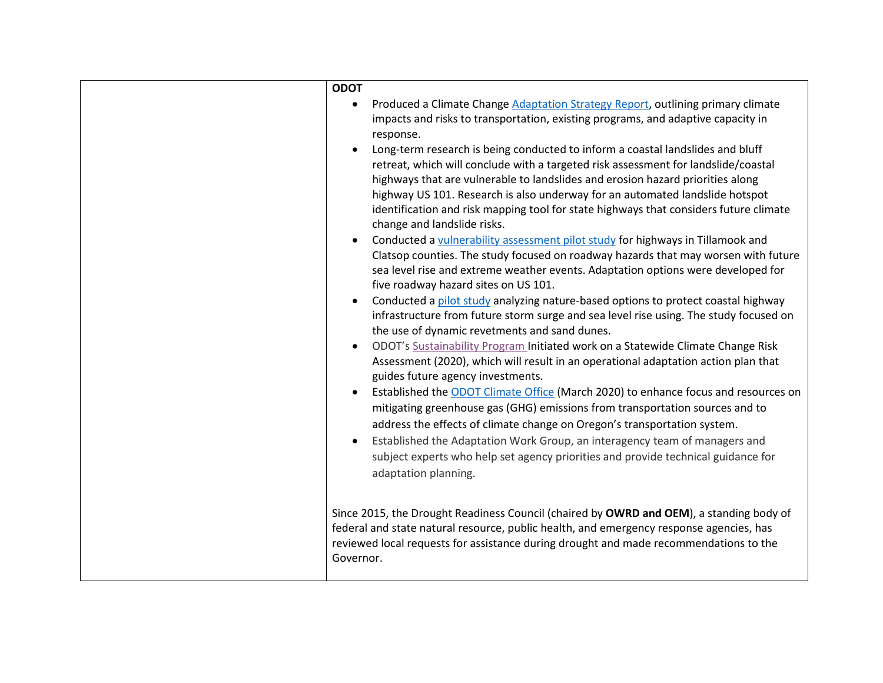| <b>ODOT</b>                                                                                                                                                                                                                                                                                                                                                                                                                                                    |
|----------------------------------------------------------------------------------------------------------------------------------------------------------------------------------------------------------------------------------------------------------------------------------------------------------------------------------------------------------------------------------------------------------------------------------------------------------------|
| Produced a Climate Change Adaptation Strategy Report, outlining primary climate<br>$\bullet$<br>impacts and risks to transportation, existing programs, and adaptive capacity in<br>response.                                                                                                                                                                                                                                                                  |
| Long-term research is being conducted to inform a coastal landslides and bluff<br>retreat, which will conclude with a targeted risk assessment for landslide/coastal<br>highways that are vulnerable to landslides and erosion hazard priorities along<br>highway US 101. Research is also underway for an automated landslide hotspot<br>identification and risk mapping tool for state highways that considers future climate<br>change and landslide risks. |
| Conducted a vulnerability assessment pilot study for highways in Tillamook and<br>Clatsop counties. The study focused on roadway hazards that may worsen with future<br>sea level rise and extreme weather events. Adaptation options were developed for<br>five roadway hazard sites on US 101.                                                                                                                                                               |
| Conducted a pilot study analyzing nature-based options to protect coastal highway<br>infrastructure from future storm surge and sea level rise using. The study focused on<br>the use of dynamic revetments and sand dunes.                                                                                                                                                                                                                                    |
| ODOT's Sustainability Program Initiated work on a Statewide Climate Change Risk<br>Assessment (2020), which will result in an operational adaptation action plan that<br>guides future agency investments.                                                                                                                                                                                                                                                     |
| Established the ODOT Climate Office (March 2020) to enhance focus and resources on<br>mitigating greenhouse gas (GHG) emissions from transportation sources and to<br>address the effects of climate change on Oregon's transportation system.                                                                                                                                                                                                                 |
| Established the Adaptation Work Group, an interagency team of managers and<br>subject experts who help set agency priorities and provide technical guidance for<br>adaptation planning.                                                                                                                                                                                                                                                                        |
| Since 2015, the Drought Readiness Council (chaired by OWRD and OEM), a standing body of<br>federal and state natural resource, public health, and emergency response agencies, has<br>reviewed local requests for assistance during drought and made recommendations to the<br>Governor.                                                                                                                                                                       |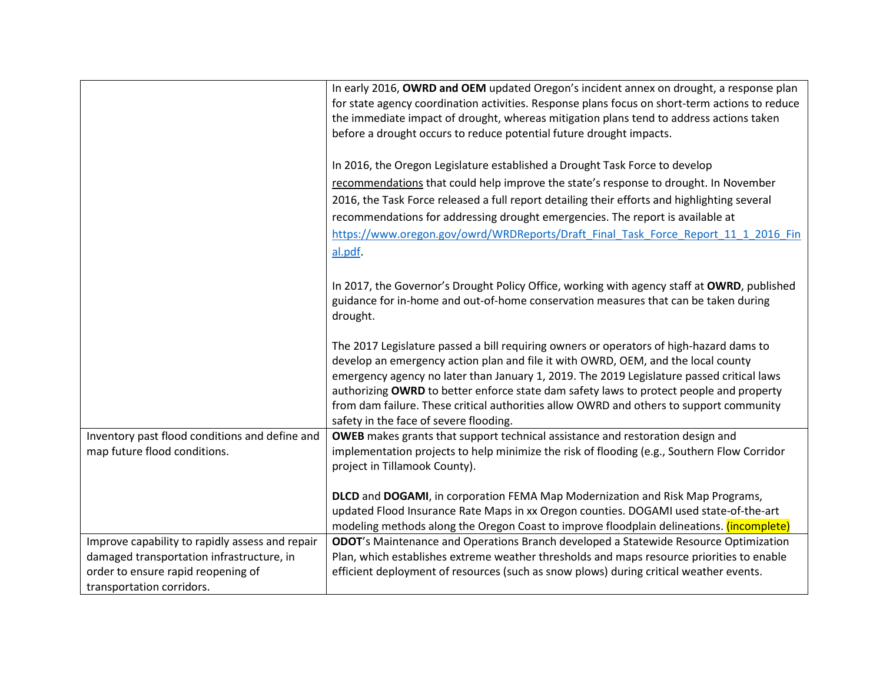|                                                 | In early 2016, OWRD and OEM updated Oregon's incident annex on drought, a response plan<br>for state agency coordination activities. Response plans focus on short-term actions to reduce |
|-------------------------------------------------|-------------------------------------------------------------------------------------------------------------------------------------------------------------------------------------------|
|                                                 | the immediate impact of drought, whereas mitigation plans tend to address actions taken                                                                                                   |
|                                                 | before a drought occurs to reduce potential future drought impacts.                                                                                                                       |
|                                                 |                                                                                                                                                                                           |
|                                                 | In 2016, the Oregon Legislature established a Drought Task Force to develop                                                                                                               |
|                                                 | recommendations that could help improve the state's response to drought. In November                                                                                                      |
|                                                 | 2016, the Task Force released a full report detailing their efforts and highlighting several                                                                                              |
|                                                 | recommendations for addressing drought emergencies. The report is available at                                                                                                            |
|                                                 | https://www.oregon.gov/owrd/WRDReports/Draft Final Task Force Report 11 1 2016 Fin                                                                                                        |
|                                                 | al.pdf.                                                                                                                                                                                   |
|                                                 |                                                                                                                                                                                           |
|                                                 | In 2017, the Governor's Drought Policy Office, working with agency staff at OWRD, published                                                                                               |
|                                                 | guidance for in-home and out-of-home conservation measures that can be taken during                                                                                                       |
|                                                 | drought.                                                                                                                                                                                  |
|                                                 | The 2017 Legislature passed a bill requiring owners or operators of high-hazard dams to                                                                                                   |
|                                                 | develop an emergency action plan and file it with OWRD, OEM, and the local county                                                                                                         |
|                                                 | emergency agency no later than January 1, 2019. The 2019 Legislature passed critical laws                                                                                                 |
|                                                 | authorizing OWRD to better enforce state dam safety laws to protect people and property                                                                                                   |
|                                                 | from dam failure. These critical authorities allow OWRD and others to support community                                                                                                   |
|                                                 | safety in the face of severe flooding.                                                                                                                                                    |
| Inventory past flood conditions and define and  | OWEB makes grants that support technical assistance and restoration design and                                                                                                            |
| map future flood conditions.                    | implementation projects to help minimize the risk of flooding (e.g., Southern Flow Corridor                                                                                               |
|                                                 | project in Tillamook County).                                                                                                                                                             |
|                                                 | DLCD and DOGAMI, in corporation FEMA Map Modernization and Risk Map Programs,                                                                                                             |
|                                                 | updated Flood Insurance Rate Maps in xx Oregon counties. DOGAMI used state-of-the-art                                                                                                     |
|                                                 | modeling methods along the Oregon Coast to improve floodplain delineations. (incomplete)                                                                                                  |
| Improve capability to rapidly assess and repair | ODOT's Maintenance and Operations Branch developed a Statewide Resource Optimization                                                                                                      |
| damaged transportation infrastructure, in       | Plan, which establishes extreme weather thresholds and maps resource priorities to enable                                                                                                 |
| order to ensure rapid reopening of              | efficient deployment of resources (such as snow plows) during critical weather events.                                                                                                    |
| transportation corridors.                       |                                                                                                                                                                                           |